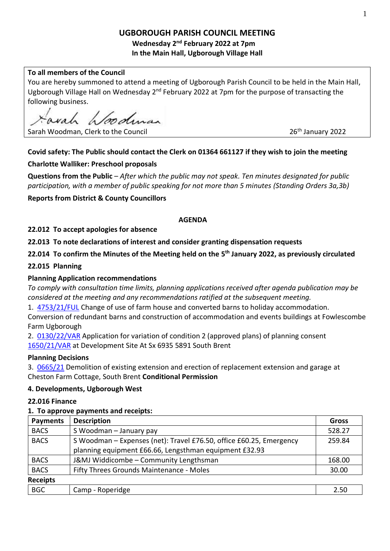# **UGBOROUGH PARISH COUNCIL MEETING**

**Wednesday 2 nd February 2022 at 7pm In the Main Hall, Ugborough Village Hall**

## **To all members of the Council**

You are hereby summoned to attend a meeting of Ugborough Parish Council to be held in the Main Hall, Ugborough Village Hall on Wednesday 2<sup>nd</sup> February 2022 at 7pm for the purpose of transacting the following business.

1. Implease

Sarah Woodman, Clerk to the Council

26<sup>th</sup> January 2022

# **Covid safety: The Public should contact the Clerk on 01364 661127 if they wish to join the meeting**

## **Charlotte Walliker: Preschool proposals**

**Questions from the Public** – *After which the public may not speak. Ten minutes designated for public participation, with a member of public speaking for not more than 5 minutes (Standing Orders 3a,3b)*

**Reports from District & County Councillors** 

## **AGENDA**

## **22.012 To accept apologies for absence**

**22.013 To note declarations of interest and consider granting dispensation requests** 

**22.014 To confirm the Minutes of the Meeting held on the 5 th January 2022, as previously circulated**

## **22.015 Planning**

## **Planning Application recommendations**

*To comply with consultation time limits, planning applications received after agenda publication may be considered at the meeting and any recommendations ratified at the subsequent meeting.*

1. [4753/21/FUL](http://apps.southhams.gov.uk/PlanningSearchMVC/Home/Details/214753) Change of use of farm house and converted barns to holiday accommodation.

Conversion of redundant barns and construction of accommodation and events buildings at Fowlescombe Farm Ugborough

2. [0130/22/VAR](http://apps.southhams.gov.uk/PlanningSearchMVC/Home/Details/220130) Application for variation of condition 2 (approved plans) of planning consent [1650/21/VAR](http://apps.southhams.gov.uk/PlanningSearchMVC/Home/Details/211650) at Development Site At Sx 6935 5891 South Brent

## **Planning Decisions**

3. [0665/21](https://www.dartmoor.gov.uk/living-and-working/planning/db-links/application-details?AppNo=0665%2F21) Demolition of existing extension and erection of replacement extension and garage at Cheston Farm Cottage, South Brent **Conditional Permission**

## **4. Developments, Ugborough West**

## **22.016 Finance**

## **1. To approve payments and receipts:**

| <b>Payments</b> | <b>Description</b>                                                  | <b>Gross</b> |
|-----------------|---------------------------------------------------------------------|--------------|
| <b>BACS</b>     | S Woodman - January pay                                             | 528.27       |
| <b>BACS</b>     | S Woodman - Expenses (net): Travel £76.50, office £60.25, Emergency | 259.84       |
|                 | planning equipment £66.66, Lengsthman equipment £32.93              |              |
| <b>BACS</b>     | J&MJ Widdicombe - Community Lengthsman                              | 168.00       |
| <b>BACS</b>     | Fifty Threes Grounds Maintenance - Moles                            | 30.00        |
| <b>Receipts</b> |                                                                     |              |
| <b>BGC</b>      | Camp - Roperidge                                                    | 2.50         |